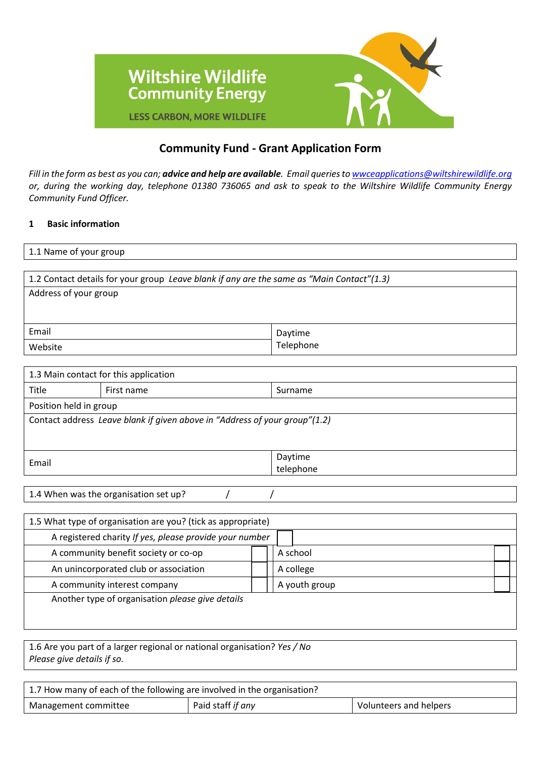

# **Community Fund - Grant Application Form**

*Fill in the form as best as you can; advice and help are available. Email queries t[o wwceapplications@wiltshirewildlife.org](mailto:wwceapplications@wiltshirewildlife.org) or, during the working day, telephone 01380 736065 and ask to speak to the Wiltshire Wildlife Community Energy Community Fund Officer.*

# **1 Basic information**

| 1.1 Name of your group                                                                    |           |  |  |  |
|-------------------------------------------------------------------------------------------|-----------|--|--|--|
|                                                                                           |           |  |  |  |
| 1.2 Contact details for your group Leave blank if any are the same as "Main Contact"(1.3) |           |  |  |  |
| Address of your group                                                                     |           |  |  |  |
|                                                                                           |           |  |  |  |
|                                                                                           |           |  |  |  |
| Email                                                                                     | Daytime   |  |  |  |
| Website                                                                                   | Telephone |  |  |  |

| 1.3 Main contact for this application                                      |                        |           |  |  |
|----------------------------------------------------------------------------|------------------------|-----------|--|--|
| Title                                                                      | First name             | Surname   |  |  |
|                                                                            | Position held in group |           |  |  |
| Contact address Leave blank if given above in "Address of your group"(1.2) |                        |           |  |  |
|                                                                            |                        |           |  |  |
|                                                                            |                        |           |  |  |
| Email                                                                      |                        | Daytime   |  |  |
|                                                                            |                        | telephone |  |  |
|                                                                            |                        |           |  |  |

| 1.5 What type of organisation are you? (tick as appropriate) |  |               |  |  |
|--------------------------------------------------------------|--|---------------|--|--|
| A registered charity If yes, please provide your number      |  |               |  |  |
| A community benefit society or co-op                         |  | A school      |  |  |
| An unincorporated club or association                        |  | A college     |  |  |
| A community interest company                                 |  | A youth group |  |  |
| Another type of organisation please give details             |  |               |  |  |
|                                                              |  |               |  |  |
|                                                              |  |               |  |  |

1.6 Are you part of a larger regional or national organisation? *Yes / No Please give details if so.*

| 1.7 How many of each of the following are involved in the organisation? |                   |                               |  |  |  |
|-------------------------------------------------------------------------|-------------------|-------------------------------|--|--|--|
| Management committee                                                    | Paid staff if any | <b>Volunteers and helpers</b> |  |  |  |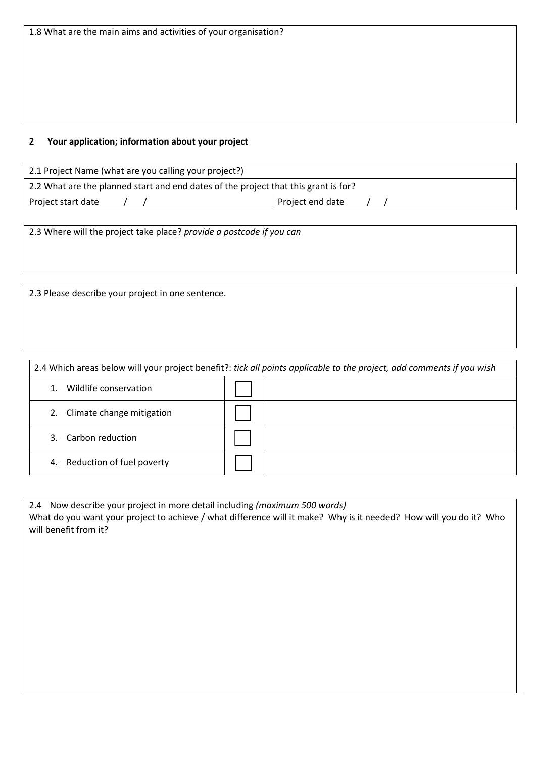### **2 Your application; information about your project**

| 2.1 Project Name (what are you calling your project?)                               |  |  |                  |  |  |
|-------------------------------------------------------------------------------------|--|--|------------------|--|--|
| 2.2 What are the planned start and end dates of the project that this grant is for? |  |  |                  |  |  |
| Project start date                                                                  |  |  | Project end date |  |  |

2.3 Where will the project take place? *provide a postcode if you can*

2.3 Please describe your project in one sentence.

| 2.4 Which areas below will your project benefit?: tick all points applicable to the project, add comments if you wish |  |  |  |  |
|-----------------------------------------------------------------------------------------------------------------------|--|--|--|--|
| Wildlife conservation                                                                                                 |  |  |  |  |
| Climate change mitigation<br>2.                                                                                       |  |  |  |  |
| 3. Carbon reduction                                                                                                   |  |  |  |  |
| 4. Reduction of fuel poverty                                                                                          |  |  |  |  |

2.4 Now describe your project in more detail including *(maximum 500 words)* What do you want your project to achieve / what difference will it make? Why is it needed? How will you do it? Who will benefit from it?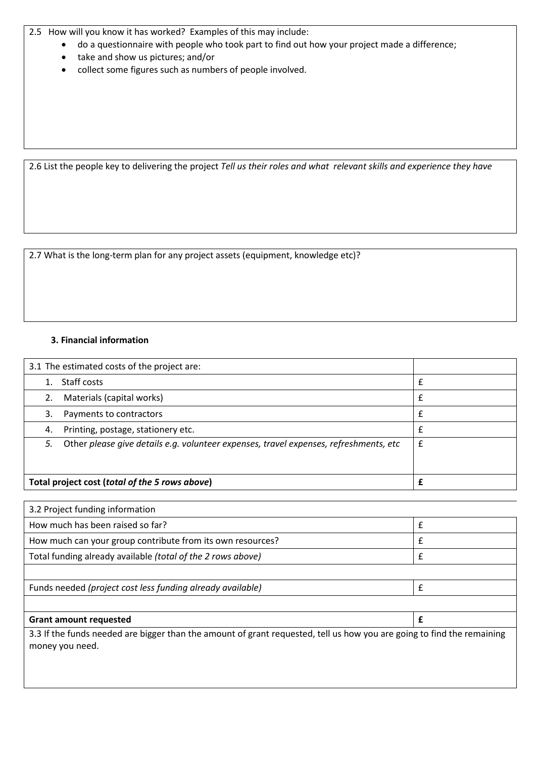2.5 How will you know it has worked? Examples of this may include:

- do a questionnaire with people who took part to find out how your project made a difference;
- take and show us pictures; and/or
- collect some figures such as numbers of people involved.

2.6 List the people key to delivering the project *Tell us their roles and what relevant skills and experience they have*

2.7 What is the long-term plan for any project assets (equipment, knowledge etc)?

## **3. Financial information**

|    | 3.1 The estimated costs of the project are:                                           |   |
|----|---------------------------------------------------------------------------------------|---|
|    | Staff costs                                                                           | £ |
| 2. | Materials (capital works)                                                             | £ |
| 3. | Payments to contractors                                                               | £ |
| 4. | Printing, postage, stationery etc.                                                    | f |
| 5. | Other please give details e.g. volunteer expenses, travel expenses, refreshments, etc | £ |
|    |                                                                                       |   |
|    | Total project cost (total of the 5 rows above)                                        |   |

| 3.3 If the funds needed are bigger than the amount of grant requested, tell us how you are going to find the remaining |
|------------------------------------------------------------------------------------------------------------------------|
|                                                                                                                        |
|                                                                                                                        |
|                                                                                                                        |